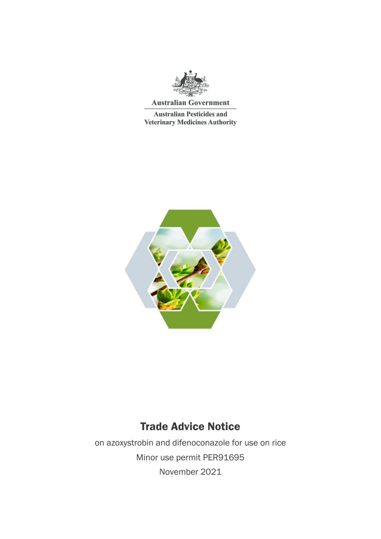

**Australian Government** 

**Australian Pesticides and Veterinary Medicines Authority** 



# Trade Advice Notice

on azoxystrobin and difenoconazole for use on rice Minor use permit PER91695 November 2021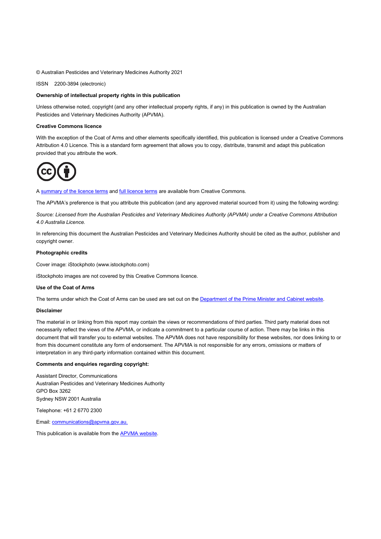© Australian Pesticides and Veterinary Medicines Authority 2021

ISSN 2200-3894 (electronic)

#### **Ownership of intellectual property rights in this publication**

Unless otherwise noted, copyright (and any other intellectual property rights, if any) in this publication is owned by the Australian Pesticides and Veterinary Medicines Authority (APVMA).

#### **Creative Commons licence**

With the exception of the Coat of Arms and other elements specifically identified, this publication is licensed under a Creative Commons Attribution 4.0 Licence. This is a standard form agreement that allows you to copy, distribute, transmit and adapt this publication provided that you attribute the work.



A [summary of the licence terms](https://creativecommons.org/licenses/by/4.0/) an[d full licence terms](https://creativecommons.org/licenses/by/4.0/legalcode) are available from Creative Commons.

The APVMA's preference is that you attribute this publication (and any approved material sourced from it) using the following wording:

*Source: Licensed from the Australian Pesticides and Veterinary Medicines Authority (APVMA) under a Creative Commons Attribution 4.0 Australia Licence.*

In referencing this document the Australian Pesticides and Veterinary Medicines Authority should be cited as the author, publisher and copyright owner.

#### **Photographic credits**

Cover image: iStockphoto (www.istockphoto.com)

iStockphoto images are not covered by this Creative Commons licence.

#### **Use of the Coat of Arms**

The terms under which the Coat of Arms can be used are set out on the [Department of the Prime Minister and Cabinet website.](http://www.dpmc.gov.au/pmc/publication/commonwealth-coat-arms-information-and-guidelines)

#### **Disclaimer**

The material in or linking from this report may contain the views or recommendations of third parties. Third party material does not necessarily reflect the views of the APVMA, or indicate a commitment to a particular course of action. There may be links in this document that will transfer you to external websites. The APVMA does not have responsibility for these websites, nor does linking to or from this document constitute any form of endorsement. The APVMA is not responsible for any errors, omissions or matters of interpretation in any third-party information contained within this document.

#### **Comments and enquiries regarding copyright:**

Assistant Director, Communications Australian Pesticides and Veterinary Medicines Authority GPO Box 3262 Sydney NSW 2001 Australia

Telephone: +61 2 6770 2300

Email: [communications@apvma.gov.au.](mailto:communications@apvma.gov.au) 

This publication is available from the [APVMA website.](http://www.apvma.gov.au/)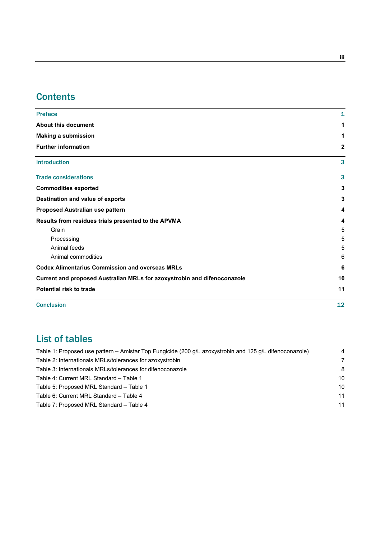# **Contents**

| 12           |
|--------------|
| 11           |
| 10           |
| 6            |
| 6            |
| 5            |
| 5            |
| 5            |
| 4            |
| 4            |
| 3            |
| 3            |
| 3            |
| 3            |
| $\mathbf{2}$ |
| 1            |
| 1            |
| 1            |
|              |

# List of tables

| Table 1: Proposed use pattern – Amistar Top Fungicide (200 g/L azoxystrobin and 125 g/L difenoconazole) | 4  |
|---------------------------------------------------------------------------------------------------------|----|
| Table 2: Internationals MRLs/tolerances for azoxystrobin                                                | 7  |
| Table 3: Internationals MRLs/tolerances for difenoconazole                                              | 8  |
| Table 4: Current MRL Standard - Table 1                                                                 | 10 |
| Table 5: Proposed MRL Standard - Table 1                                                                | 10 |
| Table 6: Current MRL Standard - Table 4                                                                 | 11 |
| Table 7: Proposed MRL Standard - Table 4                                                                | 11 |
|                                                                                                         |    |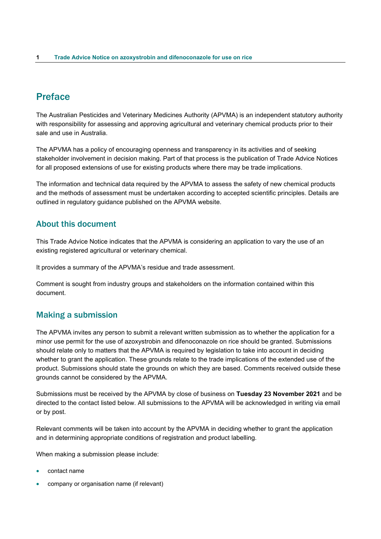# <span id="page-3-0"></span>Preface

The Australian Pesticides and Veterinary Medicines Authority (APVMA) is an independent statutory authority with responsibility for assessing and approving agricultural and veterinary chemical products prior to their sale and use in Australia.

The APVMA has a policy of encouraging openness and transparency in its activities and of seeking stakeholder involvement in decision making. Part of that process is the publication of Trade Advice Notices for all proposed extensions of use for existing products where there may be trade implications.

The information and technical data required by the APVMA to assess the safety of new chemical products and the methods of assessment must be undertaken according to accepted scientific principles. Details are outlined in regulatory guidance published on the APVMA website.

### <span id="page-3-1"></span>About this document

This Trade Advice Notice indicates that the APVMA is considering an application to vary the use of an existing registered agricultural or veterinary chemical.

It provides a summary of the APVMA's residue and trade assessment.

Comment is sought from industry groups and stakeholders on the information contained within this document.

### <span id="page-3-2"></span>Making a submission

The APVMA invites any person to submit a relevant written submission as to whether the application for a minor use permit for the use of azoxystrobin and difenoconazole on rice should be granted. Submissions should relate only to matters that the APVMA is required by legislation to take into account in deciding whether to grant the application. These grounds relate to the trade implications of the extended use of the product. Submissions should state the grounds on which they are based. Comments received outside these grounds cannot be considered by the APVMA.

Submissions must be received by the APVMA by close of business on **Tuesday 23 November 2021** and be directed to the contact listed below. All submissions to the APVMA will be acknowledged in writing via email or by post.

Relevant comments will be taken into account by the APVMA in deciding whether to grant the application and in determining appropriate conditions of registration and product labelling.

When making a submission please include:

- contact name
- company or organisation name (if relevant)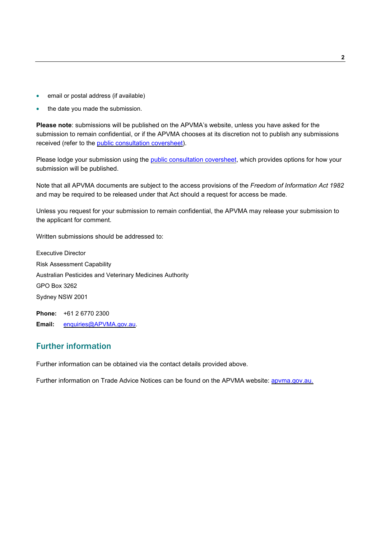- email or postal address (if available)
- the date you made the submission.

**Please note**: submissions will be published on the APVMA's website, unless you have asked for the submission to remain confidential, or if the APVMA chooses at its discretion not to publish any submissions received (refer to the [public consultation coversheet\)](https://apvma.gov.au/node/72856).

Please lodge your submission using the [public consultation coversheet,](https://apvma.gov.au/node/72856) which provides options for how your submission will be published.

Note that all APVMA documents are subject to the access provisions of the *Freedom of Information Act 1982* and may be required to be released under that Act should a request for access be made.

Unless you request for your submission to remain confidential, the APVMA may release your submission to the applicant for comment.

Written submissions should be addressed to:

Executive Director Risk Assessment Capability Australian Pesticides and Veterinary Medicines Authority GPO Box 3262 Sydney NSW 2001

**Phone:** +61 2 6770 2300 **Email:** [enquiries@APVMA.gov.au.](mailto:enquiries@APVMA.gov.au)

### <span id="page-4-0"></span>Further information

Further information can be obtained via the contact details provided above.

Further information on Trade Advice Notices can be found on the APVMA website: [apvma.gov.au.](http://www.apvma.gov.au/)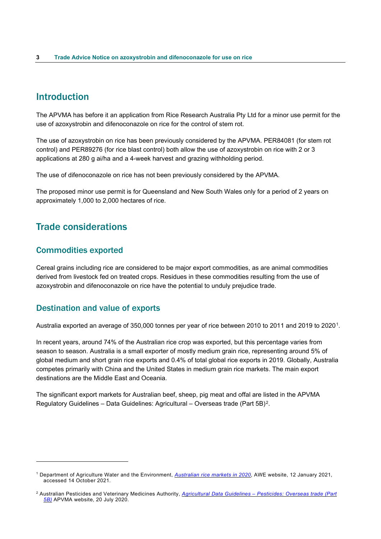# <span id="page-5-0"></span>Introduction

The APVMA has before it an application from Rice Research Australia Pty Ltd for a minor use permit for the use of azoxystrobin and difenoconazole on rice for the control of stem rot.

The use of azoxystrobin on rice has been previously considered by the APVMA. PER84081 (for stem rot control) and PER89276 (for rice blast control) both allow the use of azoxystrobin on rice with 2 or 3 applications at 280 g ai/ha and a 4-week harvest and grazing withholding period.

The use of difenoconazole on rice has not been previously considered by the APVMA.

The proposed minor use permit is for Queensland and New South Wales only for a period of 2 years on approximately 1,000 to 2,000 hectares of rice.

# <span id="page-5-1"></span>Trade considerations

### <span id="page-5-2"></span>Commodities exported

Cereal grains including rice are considered to be major export commodities, as are animal commodities derived from livestock fed on treated crops. Residues in these commodities resulting from the use of azoxystrobin and difenoconazole on rice have the potential to unduly prejudice trade.

### <span id="page-5-3"></span>Destination and value of exports

Australia exported an average of 350,000 tonnes per year of rice between 2010 to 2011 and 2019 to 2020[1.](#page-5-4)

In recent years, around 74% of the Australian rice crop was exported, but this percentage varies from season to season. Australia is a small exporter of mostly medium grain rice, representing around 5% of global medium and short grain rice exports and 0.4% of total global rice exports in 2019. Globally, Australia competes primarily with China and the United States in medium grain rice markets. The main export destinations are the Middle East and Oceania.

The significant export markets for Australian beef, sheep, pig meat and offal are listed in the APVMA Regulatory Guidelines – Data Guidelines: Agricultural – Overseas trade (Part 5B)[2](#page-5-5).

<span id="page-5-4"></span><sup>1</sup> Department of Agriculture Water and the Environment, *[Australian rice markets in 2020](https://www.agriculture.gov.au/abares/research-topics/agricultural-outlook/rice#:%7E:text=Australia%20exports%20most%20of%20its,varies%20from%20season%20to%20season.)*, AWE website, 12 January 2021, accessed 14 October 2021.

<span id="page-5-5"></span><sup>2</sup> Australian Pesticides and Veterinary Medicines Authority, *Agricultural Data Guidelines – [Pesticides: Overseas trade \(Part](https://apvma.gov.au/node/1017)  [5B\)](https://apvma.gov.au/node/1017)* APVMA website, 20 July 2020.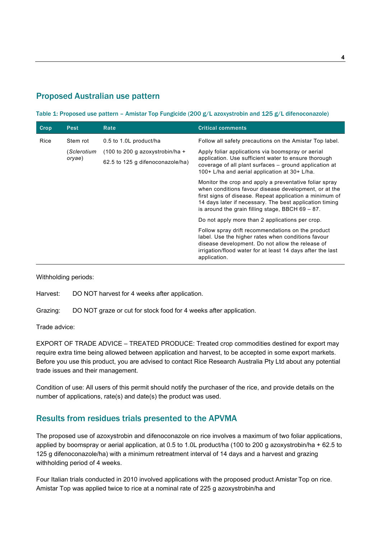## <span id="page-6-0"></span>Proposed Australian use pattern

<span id="page-6-2"></span>Table 1: Proposed use pattern – Amistar Top Fungicide (200 g/L azoxystrobin and 125 g/L difenoconazole)

| Crop | <b>Pest</b>           | Rate                                                | <b>Critical comments</b>                                                                                                                                                                                                                                                                     |
|------|-----------------------|-----------------------------------------------------|----------------------------------------------------------------------------------------------------------------------------------------------------------------------------------------------------------------------------------------------------------------------------------------------|
| Rice | Stem rot              | 0.5 to 1.0L product/ha                              | Follow all safety precautions on the Amistar Top label.                                                                                                                                                                                                                                      |
|      | (Sclerotium<br>oryae) | $(100 \text{ to } 200 \text{ g }$ azoxystrobin/ha + | Apply foliar applications via boomspray or aerial                                                                                                                                                                                                                                            |
|      |                       | 62.5 to 125 g difenoconazole/ha)                    | application. Use sufficient water to ensure thorough<br>coverage of all plant surfaces – ground application at<br>100+ L/ha and aerial application at 30+ L/ha.                                                                                                                              |
|      |                       |                                                     | Monitor the crop and apply a preventative foliar spray<br>when conditions favour disease development, or at the<br>first signs of disease. Repeat application a minimum of<br>14 days later if necessary. The best application timing<br>is around the grain filling stage, BBCH $69 - 87$ . |
|      |                       |                                                     | Do not apply more than 2 applications per crop.                                                                                                                                                                                                                                              |
|      |                       |                                                     | Follow spray drift recommendations on the product<br>label. Use the higher rates when conditions favour<br>disease development. Do not allow the release of<br>irrigation/flood water for at least 14 days after the last<br>application.                                                    |

Withholding periods:

Harvest: DO NOT harvest for 4 weeks after application.

Grazing: DO NOT graze or cut for stock food for 4 weeks after application.

Trade advice:

EXPORT OF TRADE ADVICE – TREATED PRODUCE: Treated crop commodities destined for export may require extra time being allowed between application and harvest, to be accepted in some export markets. Before you use this product, you are advised to contact Rice Research Australia Pty Ltd about any potential trade issues and their management.

Condition of use: All users of this permit should notify the purchaser of the rice, and provide details on the number of applications, rate(s) and date(s) the product was used.

### <span id="page-6-1"></span>Results from residues trials presented to the APVMA

The proposed use of azoxystrobin and difenoconazole on rice involves a maximum of two foliar applications, applied by boomspray or aerial application, at 0.5 to 1.0L product/ha (100 to 200 g azoxystrobin/ha + 62.5 to 125 g difenoconazole/ha) with a minimum retreatment interval of 14 days and a harvest and grazing withholding period of 4 weeks.

Four Italian trials conducted in 2010 involved applications with the proposed product Amistar Top on rice. Amistar Top was applied twice to rice at a nominal rate of 225 g azoxystrobin/ha and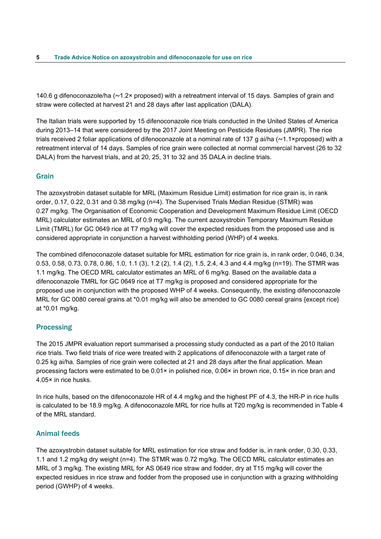140.6 g difenoconazole/ha ( $\sim$ 1.2× proposed) with a retreatment interval of 15 days. Samples of grain and straw were collected at harvest 21 and 28 days after last application (DALA).

The Italian trials were supported by 15 difenoconazole rice trials conducted in the United States of America during 2013–14 that were considered by the 2017 Joint Meeting on Pesticide Residues (JMPR). The rice trials received 2 foliar applications of difenoconazole at a nominal rate of 137 g ai/ha  $(\sim 1.1 \times$ proposed) with a retreatment interval of 14 days. Samples of rice grain were collected at normal commercial harvest (26 to 32 DALA) from the harvest trials, and at 20, 25, 31 to 32 and 35 DALA in decline trials.

### <span id="page-7-0"></span>Grain

The azoxystrobin dataset suitable for MRL (Maximum Residue Limit) estimation for rice grain is, in rank order, 0.17, 0.22, 0.31 and 0.38 mg/kg (n=4). The Supervised Trials Median Residue (STMR) was 0.27 mg/kg. The Organisation of Economic Cooperation and Development Maximum Residue Limit (OECD MRL) calculator estimates an MRL of 0.9 mg/kg. The current azoxystrobin Temporary Maximum Residue Limit (TMRL) for GC 0649 rice at T7 mg/kg will cover the expected residues from the proposed use and is considered appropriate in conjunction a harvest withholding period (WHP) of 4 weeks.

The combined difenoconazole dataset suitable for MRL estimation for rice grain is, in rank order, 0.046, 0.34, 0.53, 0.58, 0.73, 0.78, 0.86, 1.0, 1.1 (3), 1.2 (2), 1.4 (2), 1.5, 2.4, 4.3 and 4.4 mg/kg (n=19). The STMR was 1.1 mg/kg. The OECD MRL calculator estimates an MRL of 6 mg/kg. Based on the available data a difenoconazole TMRL for GC 0649 rice at T7 mg/kg is proposed and considered appropriate for the proposed use in conjunction with the proposed WHP of 4 weeks. Consequently, the existing difenoconazole MRL for GC 0080 cereal grains at \*0.01 mg/kg will also be amended to GC 0080 cereal grains {except rice} at \*0.01 mg/kg.

#### <span id="page-7-1"></span>**Processing**

The 2015 JMPR evaluation report summarised a processing study conducted as a part of the 2010 Italian rice trials. Two field trials of rice were treated with 2 applications of difenoconazole with a target rate of 0.25 kg ai/ha. Samples of rice grain were collected at 21 and 28 days after the final application. Mean processing factors were estimated to be 0.01× in polished rice, 0.06× in brown rice, 0.15× in rice bran and 4.05× in rice husks.

In rice hulls, based on the difenoconazole HR of 4.4 mg/kg and the highest PF of 4.3, the HR-P in rice hulls is calculated to be 18.9 mg/kg. A difenoconazole MRL for rice hulls at T20 mg/kg is recommended in Table 4 of the MRL standard.

#### <span id="page-7-2"></span>Animal feeds

The azoxystrobin dataset suitable for MRL estimation for rice straw and fodder is, in rank order, 0.30, 0.33, 1.1 and 1.2 mg/kg dry weight (n=4). The STMR was 0.72 mg/kg. The OECD MRL calculator estimates an MRL of 3 mg/kg. The existing MRL for AS 0649 rice straw and fodder, dry at T15 mg/kg will cover the expected residues in rice straw and fodder from the proposed use in conjunction with a grazing withholding period (GWHP) of 4 weeks.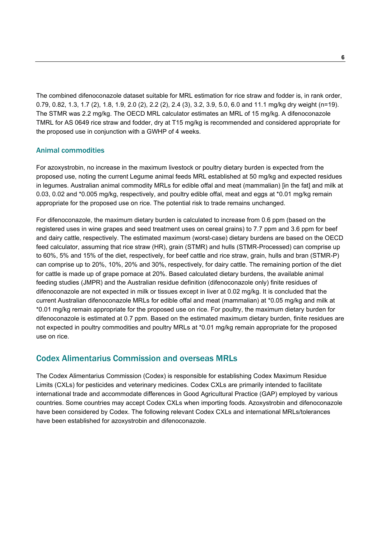The combined difenoconazole dataset suitable for MRL estimation for rice straw and fodder is, in rank order, 0.79, 0.82, 1.3, 1.7 (2), 1.8, 1.9, 2.0 (2), 2.2 (2), 2.4 (3), 3.2, 3.9, 5.0, 6.0 and 11.1 mg/kg dry weight (n=19). The STMR was 2.2 mg/kg. The OECD MRL calculator estimates an MRL of 15 mg/kg. A difenoconazole TMRL for AS 0649 rice straw and fodder, dry at T15 mg/kg is recommended and considered appropriate for the proposed use in conjunction with a GWHP of 4 weeks.

### <span id="page-8-0"></span>Animal commodities

For azoxystrobin, no increase in the maximum livestock or poultry dietary burden is expected from the proposed use, noting the current Legume animal feeds MRL established at 50 mg/kg and expected residues in legumes. Australian animal commodity MRLs for edible offal and meat (mammalian) [in the fat] and milk at 0.03, 0.02 and \*0.005 mg/kg, respectively, and poultry edible offal, meat and eggs at \*0.01 mg/kg remain appropriate for the proposed use on rice. The potential risk to trade remains unchanged.

For difenoconazole, the maximum dietary burden is calculated to increase from 0.6 ppm (based on the registered uses in wine grapes and seed treatment uses on cereal grains) to 7.7 ppm and 3.6 ppm for beef and dairy cattle, respectively. The estimated maximum (worst-case) dietary burdens are based on the OECD feed calculator, assuming that rice straw (HR), grain (STMR) and hulls (STMR-Processed) can comprise up to 60%, 5% and 15% of the diet, respectively, for beef cattle and rice straw, grain, hulls and bran (STMR-P) can comprise up to 20%, 10%, 20% and 30%, respectively, for dairy cattle. The remaining portion of the diet for cattle is made up of grape pomace at 20%. Based calculated dietary burdens, the available animal feeding studies (JMPR) and the Australian residue definition (difenoconazole only) finite residues of difenoconazole are not expected in milk or tissues except in liver at 0.02 mg/kg. It is concluded that the current Australian difenoconazole MRLs for edible offal and meat (mammalian) at \*0.05 mg/kg and milk at \*0.01 mg/kg remain appropriate for the proposed use on rice. For poultry, the maximum dietary burden for difenoconazole is estimated at 0.7 ppm. Based on the estimated maximum dietary burden, finite residues are not expected in poultry commodities and poultry MRLs at \*0.01 mg/kg remain appropriate for the proposed use on rice.

### <span id="page-8-1"></span>Codex Alimentarius Commission and overseas MRLs

The Codex Alimentarius Commission (Codex) is responsible for establishing Codex Maximum Residue Limits (CXLs) for pesticides and veterinary medicines. Codex CXLs are primarily intended to facilitate international trade and accommodate differences in Good Agricultural Practice (GAP) employed by various countries. Some countries may accept Codex CXLs when importing foods. Azoxystrobin and difenoconazole have been considered by Codex. The following relevant Codex CXLs and international MRLs/tolerances have been established for azoxystrobin and difenoconazole.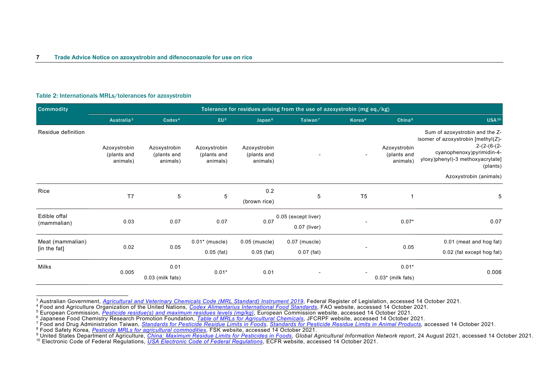<span id="page-9-8"></span><span id="page-9-7"></span><span id="page-9-6"></span><span id="page-9-5"></span><span id="page-9-4"></span><span id="page-9-3"></span><span id="page-9-2"></span><span id="page-9-1"></span>

| Table 2: Internationals MRLs/tolerances for azoxystrobin |  |  |
|----------------------------------------------------------|--|--|
|----------------------------------------------------------|--|--|

| <b>Commodity</b>                 |                                         |                                         |                                         |                                         | Tolerance for residues arising from the use of azoxystrobin (mg eq./kg) |                    |                                         |                                                                                                                                                                                              |
|----------------------------------|-----------------------------------------|-----------------------------------------|-----------------------------------------|-----------------------------------------|-------------------------------------------------------------------------|--------------------|-----------------------------------------|----------------------------------------------------------------------------------------------------------------------------------------------------------------------------------------------|
|                                  | Australia <sup>3</sup>                  | Codex <sup>4</sup>                      | EU <sub>5</sub>                         | Japan <sup>6</sup>                      | Taiwan <sup>7</sup>                                                     | Korea <sup>8</sup> | China <sup>9</sup>                      | <b>USA<sup>10</sup></b>                                                                                                                                                                      |
| Residue definition               | Azoxystrobin<br>(plants and<br>animals) | Azoxystrobin<br>(plants and<br>animals) | Azoxystrobin<br>(plants and<br>animals) | Azoxystrobin<br>(plants and<br>animals) |                                                                         |                    | Azoxystrobin<br>(plants and<br>animals) | Sum of azoxystrobin and the Z-<br>isomer of azoxystrobin [methyl(Z)-<br>$2-(2-(6-(2-$<br>cyanophenoxy)pyrimidin-4-<br>yloxy)phenyl)-3 methoxyacrylate]<br>(plants)<br>Azoxystrobin (animals) |
| Rice                             | T <sub>7</sub>                          | $\,$ 5 $\,$                             | $\,$ 5 $\,$                             | 0.2<br>(brown rice)                     | $\mathbf 5$                                                             | T <sub>5</sub>     | 1                                       | 5                                                                                                                                                                                            |
| Edible offal<br>(mammalian)      | 0.03                                    | 0.07                                    | 0.07                                    | 0.07                                    | 0.05 (except liver)<br>0.07 (liver)                                     |                    | $0.07*$                                 | 0.07                                                                                                                                                                                         |
| Meat (mammalian)<br>[in the fat] | 0.02                                    | 0.05                                    | $0.01*$ (muscle)<br>$0.05$ (fat)        | $0.05$ (muscle)<br>$0.05$ (fat)         | $0.07$ (muscle)<br>$0.07$ (fat)                                         |                    | 0.05                                    | 0.01 (meat and hog fat)<br>0.02 (fat except hog fat)                                                                                                                                         |
| Milks                            | 0.005                                   | 0.01<br>0.03 (milk fats)                | $0.01*$                                 | 0.01                                    | $\overline{\phantom{a}}$                                                |                    | $0.01*$<br>$0.03*$ (milk fats)          | 0.006                                                                                                                                                                                        |

<span id="page-9-0"></span><sup>&</sup>lt;sup>3</sup> Australian Government, [Agricultural and Veterinary Chemicals Code \(MRL Standard\) Instrument 2019](https://www.legislation.gov.au/Series/F2019L01105), Federal Register of Legislation, accessed 14 October 2021.<br><sup>4</sup> Food and Agriculture Organization of the United Nations,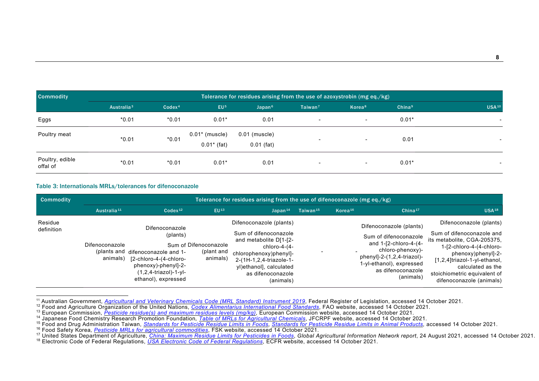<span id="page-10-8"></span><span id="page-10-7"></span><span id="page-10-6"></span><span id="page-10-5"></span><span id="page-10-4"></span><span id="page-10-3"></span><span id="page-10-2"></span><span id="page-10-1"></span>

| <b>Commodity</b>            | Tolerance for residues arising from the use of azoxystrobin (mg eq./kg) |                    |                                   |                               |                          |                    |                    |                   |
|-----------------------------|-------------------------------------------------------------------------|--------------------|-----------------------------------|-------------------------------|--------------------------|--------------------|--------------------|-------------------|
|                             | Australia <sup>3</sup>                                                  | Codex <sup>4</sup> | EU <sup>5</sup>                   | Japan <sup>6</sup>            | Taiwan $7$               | Korea <sup>8</sup> | China <sup>9</sup> | USA <sup>10</sup> |
| Eggs                        | $*0.01$                                                                 | $*0.01$            | $0.01*$                           | 0.01                          | $\overline{\phantom{a}}$ | $\sim$             | $0.01*$            | $\sim$            |
| Poultry meat                | $*0.01$                                                                 | $*0.01$            | $0.01*$ (muscle)<br>$0.01*$ (fat) | 0.01 (muscle)<br>$0.01$ (fat) | $\overline{\phantom{0}}$ | $\sim$             | 0.01               |                   |
| Poultry, edible<br>offal of | $*0.01$                                                                 | $*0.01$            | $0.01*$                           | 0.01                          | $\overline{\phantom{a}}$ | $\sim$             | $0.01*$            |                   |

#### Table 3: Internationals MRLs/tolerances for difenoconazole

| Commodity             |                                           | Tolerance for residues arising from the use of difenoconazole (mg eq./kg)                                                                                |                                                 |                                                                                                                                                                                                              |                      |            |                                                                                                                                                                                                  |                                                                                                                                                                                                                                                        |
|-----------------------|-------------------------------------------|----------------------------------------------------------------------------------------------------------------------------------------------------------|-------------------------------------------------|--------------------------------------------------------------------------------------------------------------------------------------------------------------------------------------------------------------|----------------------|------------|--------------------------------------------------------------------------------------------------------------------------------------------------------------------------------------------------|--------------------------------------------------------------------------------------------------------------------------------------------------------------------------------------------------------------------------------------------------------|
|                       | Australia <sup>11</sup>                   | Codex <sup>12</sup>                                                                                                                                      | EU <sub>13</sub>                                | Janan <sup>14</sup>                                                                                                                                                                                          | Taiwan <sup>15</sup> | Korea $16$ | China <sup>17</sup>                                                                                                                                                                              | <b>USA18</b>                                                                                                                                                                                                                                           |
| Residue<br>definition | Difenoconazole<br>(plants and<br>animals) | Difenoconazole<br>(plants)<br>difenoconazole and 1-<br>[2-chloro-4-(4-chloro-<br>phenoxy)-phenyl]-2-<br>$(1, 2, 4-triazol)-1-yl-$<br>ethanol), expressed | Sum of Difenoconazole<br>(plant and<br>animals) | Difenoconazole (plants)<br>Sum of difenoconazole<br>and metabolite D[1-[2-<br>chloro-4-(4-<br>chlorophenoxy)phenyl]-<br>2-(1H-1,2,4-triazole-1-<br>yl)ethanol], calculated<br>as difenoconazole<br>(animals) |                      |            | Difenoconazole (plants)<br>Sum of difenoconazole<br>and 1-[2-chloro-4-(4-<br>chloro-phenoxy)-<br>$phenyl$ ]-2- $(1,2,4$ -triazol)-<br>1-yl-ethanol), expressed<br>as difenoconazole<br>(animals) | Difenoconazole (plants)<br>Sum of difenoconazole and<br>its metabolite, CGA-205375.<br>1-[2-chloro-4-(4-chloro-<br>phenoxy)phenyl]-2-<br>[1,2,4]triazol-1-yl-ethanol,<br>calculated as the<br>stoichiometric equivalent of<br>difenoconazole (animals) |

<span id="page-10-0"></span>

<sup>&</sup>lt;sup>11</sup> Australian Government, <u>[Agricultural and Veterinary Chemicals Code \(MRL Standard\) Instrument 2019](https://www.legislation.gov.au/Series/F2019L01105)</u>, Federal Register of Legislation, accessed 14 October 2021.<br><sup>12</sup> Food and Agriculture Organization of the United Natio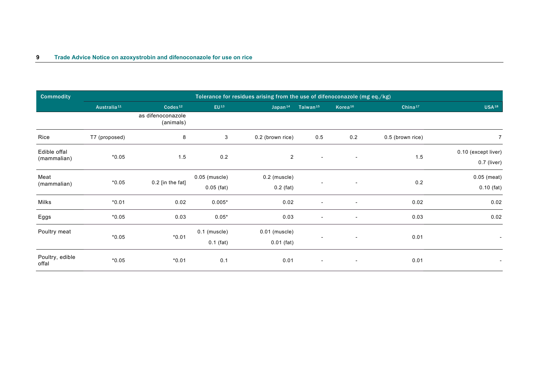| <b>Commodity</b>            | Tolerance for residues arising from the use of difenoconazole (mg eq./kg) |                                |                                 |                                 |                          |                          |                     |                                      |  |
|-----------------------------|---------------------------------------------------------------------------|--------------------------------|---------------------------------|---------------------------------|--------------------------|--------------------------|---------------------|--------------------------------------|--|
|                             | Australia <sup>11</sup>                                                   | $Codex^{12}$                   | $EU^{13}$                       | Japan <sup>14</sup>             | Taiwan <sup>15</sup>     | Korea <sup>16</sup>      | China <sup>17</sup> | USA <sup>18</sup>                    |  |
|                             |                                                                           | as difenoconazole<br>(animals) |                                 |                                 |                          |                          |                     |                                      |  |
| Rice                        | T7 (proposed)                                                             | 8                              | 3                               | 0.2 (brown rice)                | 0.5                      | 0.2                      | 0.5 (brown rice)    | $\overline{7}$                       |  |
| Edible offal<br>(mammalian) | $*0.05$                                                                   | 1.5                            | 0.2                             | $\overline{2}$                  | $\overline{\phantom{a}}$ | $\overline{\phantom{a}}$ | $1.5$               | 0.10 (except liver)<br>$0.7$ (liver) |  |
| Meat<br>(mammalian)         | $*0.05$                                                                   | $0.2$ [in the fat]             | $0.05$ (muscle)<br>$0.05$ (fat) | $0.2$ (muscle)<br>$0.2$ (fat)   |                          | $\blacksquare$           | 0.2                 | $0.05$ (meat)<br>$0.10$ (fat)        |  |
| Milks                       | $*0.01$                                                                   | 0.02                           | $0.005*$                        | 0.02                            |                          | $\overline{\phantom{a}}$ | 0.02                | 0.02                                 |  |
| Eggs                        | $*0.05$                                                                   | 0.03                           | $0.05*$                         | 0.03                            |                          | $\overline{\phantom{a}}$ | 0.03                | 0.02                                 |  |
| Poultry meat                | $*0.05$                                                                   | $*0.01$                        | $0.1$ (muscle)<br>$0.1$ (fat)   | $0.01$ (muscle)<br>$0.01$ (fat) |                          | $\overline{\phantom{a}}$ | 0.01                |                                      |  |
| Poultry, edible<br>offal    | $*0.05$                                                                   | $*0.01$                        | 0.1                             | 0.01                            | $\sim$                   | $\overline{\phantom{a}}$ | 0.01                |                                      |  |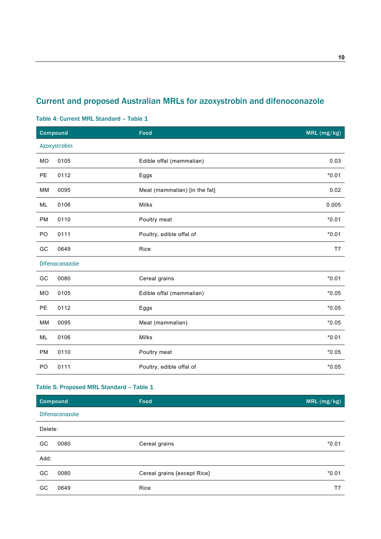# <span id="page-12-0"></span>Current and proposed Australian MRLs for azoxystrobin and difenoconazole

#### <span id="page-12-1"></span>Table 4: Current MRL Standard – Table 1

|           | <b>Compound</b> | Food                          | MRL (mg/kg) |
|-----------|-----------------|-------------------------------|-------------|
|           | Azoxystrobin    |                               |             |
| <b>MO</b> | 0105            | Edible offal (mammalian)      | 0.03        |
| PE        | 0112            | Eggs                          | $*0.01$     |
| MM        | 0095            | Meat (mammalian) [in the fat] | 0.02        |
| ML        | 0106            | Milks                         | 0.005       |
| PM        | 0110            | Poultry meat                  | $*0.01$     |
| PO        | 0111            | Poultry, edible offal of      | $*0.01$     |
| GC        | 0649            | Rice                          | T7          |
|           | Difenoconazole  |                               |             |
| GC        | 0080            | Cereal grains                 | $*0.01$     |
| MO        | 0105            | Edible offal (mammalian)      | $*0.05$     |
| PE        | 0112            | Eggs                          | $*0.05$     |
| MM        | 0095            | Meat (mammalian)              | $*0.05$     |
| ML        | 0106            | Milks                         | $*0.01$     |
| PM        | 0110            | Poultry meat                  | $*0.05$     |
| PO        | 0111            | Poultry, edible offal of      | $*0.05$     |

### <span id="page-12-2"></span>Table 5: Proposed MRL Standard – Table 1

| <b>Compound</b>   | Food                        | MRL (mg/kg) |
|-------------------|-----------------------------|-------------|
| Difenoconazole    |                             |             |
| Delete:           |                             |             |
| GC<br>0080        | Cereal grains               | $*0.01$     |
| Add:              |                             |             |
| GC<br>0080        | Cereal grains {except Rice} | $*0.01$     |
| 0649<br><b>GC</b> | Rice                        | Τ7          |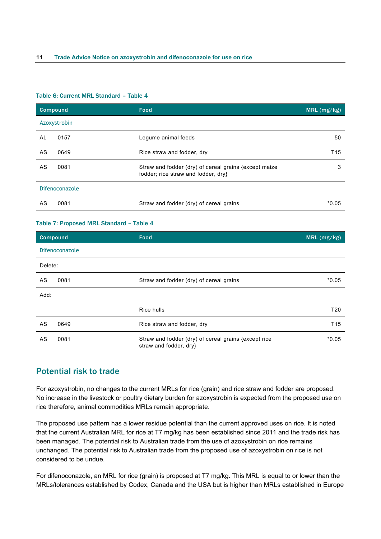#### <span id="page-13-1"></span>Table 6: Current MRL Standard – Table 4

|    | Compound       | Food                                                                                        | MRL (mg/kg)     |
|----|----------------|---------------------------------------------------------------------------------------------|-----------------|
|    | Azoxystrobin   |                                                                                             |                 |
| AL | 0157           | Legume animal feeds                                                                         | 50              |
| AS | 0649           | Rice straw and fodder, dry                                                                  | T <sub>15</sub> |
| AS | 0081           | Straw and fodder (dry) of cereal grains {except maize<br>fodder; rice straw and fodder, dry | 3               |
|    | Difenoconazole |                                                                                             |                 |
| AS | 0081           | Straw and fodder (dry) of cereal grains                                                     | $*0.05$         |

#### <span id="page-13-2"></span>Table 7: Proposed MRL Standard – Table 4

|         | Compound       | Food                                                                           | MRL(mg/kg)      |
|---------|----------------|--------------------------------------------------------------------------------|-----------------|
|         | Difenoconazole |                                                                                |                 |
| Delete: |                |                                                                                |                 |
| AS      | 0081           | Straw and fodder (dry) of cereal grains                                        | $*0.05$         |
| Add:    |                |                                                                                |                 |
|         |                | Rice hulls                                                                     | T <sub>20</sub> |
| AS      | 0649           | Rice straw and fodder, dry                                                     | T <sub>15</sub> |
| AS      | 0081           | Straw and fodder (dry) of cereal grains {except rice<br>straw and fodder, dry} | $*0.05$         |

### <span id="page-13-0"></span>Potential risk to trade

For azoxystrobin, no changes to the current MRLs for rice (grain) and rice straw and fodder are proposed. No increase in the livestock or poultry dietary burden for azoxystrobin is expected from the proposed use on rice therefore, animal commodities MRLs remain appropriate.

The proposed use pattern has a lower residue potential than the current approved uses on rice. It is noted that the current Australian MRL for rice at T7 mg/kg has been established since 2011 and the trade risk has been managed. The potential risk to Australian trade from the use of azoxystrobin on rice remains unchanged. The potential risk to Australian trade from the proposed use of azoxystrobin on rice is not considered to be undue.

For difenoconazole, an MRL for rice (grain) is proposed at T7 mg/kg. This MRL is equal to or lower than the MRLs/tolerances established by Codex, Canada and the USA but is higher than MRLs established in Europe